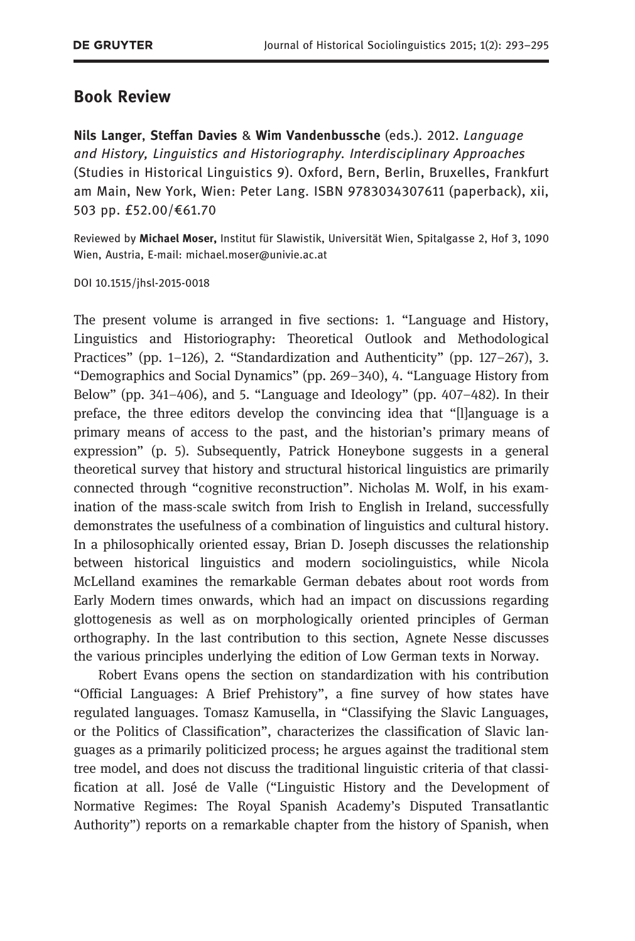## Book Review

Nils Langer, Steffan Davies & Wim Vandenbussche (eds.). 2012. Language and History, Linguistics and Historiography. Interdisciplinary Approaches (Studies in Historical Linguistics 9). Oxford, Bern, Berlin, Bruxelles, Frankfurt am Main, New York, Wien: Peter Lang. ISBN 9783034307611 (paperback), xii, 503 pp. £52.00/€61.70

Reviewed by Michael Moser, Institut für Slawistik, Universität Wien, Spitalgasse 2, Hof 3, 1090 Wien, Austria, E-mail: michael.moser@univie.ac.at

DOI 10.1515/jhsl-2015-0018

The present volume is arranged in five sections: 1. "Language and History, Linguistics and Historiography: Theoretical Outlook and Methodological Practices" (pp. 1–126), 2. "Standardization and Authenticity" (pp. 127–267), 3. "Demographics and Social Dynamics" (pp. 269–340), 4. "Language History from Below" (pp. 341–406), and 5. "Language and Ideology" (pp. 407–482). In their preface, the three editors develop the convincing idea that "[l]anguage is a primary means of access to the past, and the historian's primary means of expression" (p. 5). Subsequently, Patrick Honeybone suggests in a general theoretical survey that history and structural historical linguistics are primarily connected through "cognitive reconstruction". Nicholas M. Wolf, in his examination of the mass-scale switch from Irish to English in Ireland, successfully demonstrates the usefulness of a combination of linguistics and cultural history. In a philosophically oriented essay, Brian D. Joseph discusses the relationship between historical linguistics and modern sociolinguistics, while Nicola McLelland examines the remarkable German debates about root words from Early Modern times onwards, which had an impact on discussions regarding glottogenesis as well as on morphologically oriented principles of German orthography. In the last contribution to this section, Agnete Nesse discusses the various principles underlying the edition of Low German texts in Norway.

Robert Evans opens the section on standardization with his contribution "Official Languages: A Brief Prehistory", a fine survey of how states have regulated languages. Tomasz Kamusella, in "Classifying the Slavic Languages, or the Politics of Classification", characterizes the classification of Slavic languages as a primarily politicized process; he argues against the traditional stem tree model, and does not discuss the traditional linguistic criteria of that classification at all. José de Valle ("Linguistic History and the Development of Normative Regimes: The Royal Spanish Academy's Disputed Transatlantic Authority") reports on a remarkable chapter from the history of Spanish, when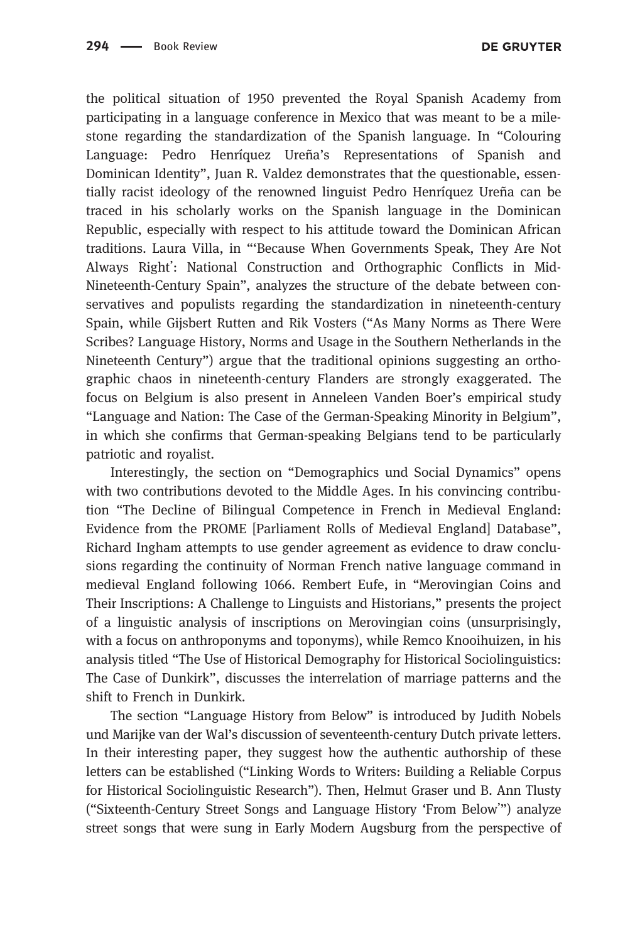the political situation of 1950 prevented the Royal Spanish Academy from participating in a language conference in Mexico that was meant to be a milestone regarding the standardization of the Spanish language. In "Colouring Language: Pedro Henríquez Ureña's Representations of Spanish and Dominican Identity", Juan R. Valdez demonstrates that the questionable, essentially racist ideology of the renowned linguist Pedro Henríquez Ureña can be traced in his scholarly works on the Spanish language in the Dominican Republic, especially with respect to his attitude toward the Dominican African traditions. Laura Villa, in "'Because When Governments Speak, They Are Not Always Right': National Construction and Orthographic Conflicts in Mid-Nineteenth-Century Spain", analyzes the structure of the debate between conservatives and populists regarding the standardization in nineteenth-century Spain, while Gijsbert Rutten and Rik Vosters ("As Many Norms as There Were Scribes? Language History, Norms and Usage in the Southern Netherlands in the Nineteenth Century") argue that the traditional opinions suggesting an orthographic chaos in nineteenth-century Flanders are strongly exaggerated. The focus on Belgium is also present in Anneleen Vanden Boer's empirical study "Language and Nation: The Case of the German-Speaking Minority in Belgium", in which she confirms that German-speaking Belgians tend to be particularly patriotic and royalist.

Interestingly, the section on "Demographics und Social Dynamics" opens with two contributions devoted to the Middle Ages. In his convincing contribution "The Decline of Bilingual Competence in French in Medieval England: Evidence from the PROME [Parliament Rolls of Medieval England] Database", Richard Ingham attempts to use gender agreement as evidence to draw conclusions regarding the continuity of Norman French native language command in medieval England following 1066. Rembert Eufe, in "Merovingian Coins and Their Inscriptions: A Challenge to Linguists and Historians," presents the project of a linguistic analysis of inscriptions on Merovingian coins (unsurprisingly, with a focus on anthroponyms and toponyms), while Remco Knooihuizen, in his analysis titled "The Use of Historical Demography for Historical Sociolinguistics: The Case of Dunkirk", discusses the interrelation of marriage patterns and the shift to French in Dunkirk.

The section "Language History from Below" is introduced by Judith Nobels und Marijke van der Wal's discussion of seventeenth-century Dutch private letters. In their interesting paper, they suggest how the authentic authorship of these letters can be established ("Linking Words to Writers: Building a Reliable Corpus for Historical Sociolinguistic Research"). Then, Helmut Graser und B. Ann Tlusty ("Sixteenth-Century Street Songs and Language History 'From Below'") analyze street songs that were sung in Early Modern Augsburg from the perspective of